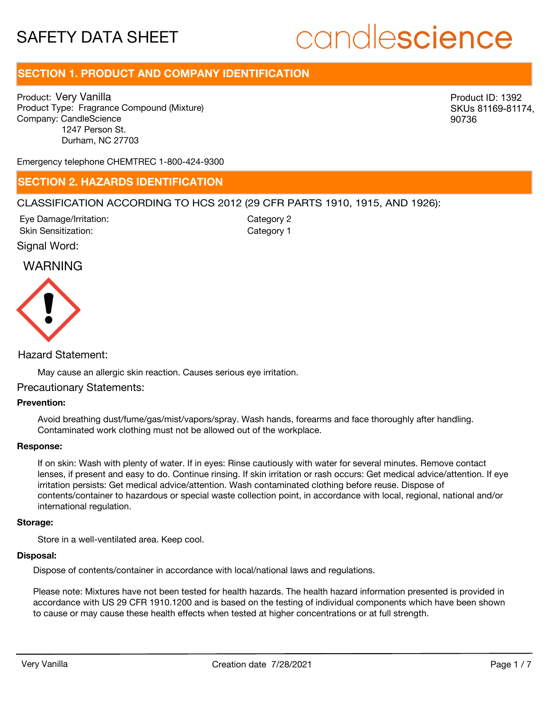# candlescience

# **SECTION 1. PRODUCT AND COMPANY IDENTIFICATION**

Product: Very Vanilla Product Type: Fragrance Compound (Mixture) Company: CandleScience 1247 Person St. Durham, NC 27703

Product ID: 1392 SKUs 81169-81174, 90736

Emergency telephone CHEMTREC 1-800-424-9300

# **SECTION 2. HAZARDS IDENTIFICATION**

# CLASSIFICATION ACCORDING TO HCS 2012 (29 CFR PARTS 1910, 1915, AND 1926):

Signal Word: Eye Damage/Irritation: Skin Sensitization:

Category 2 Category 1

# WARNING



Hazard Statement:

May cause an allergic skin reaction. Causes serious eye irritation.

## Precautionary Statements:

# **Prevention:**

Avoid breathing dust/fume/gas/mist/vapors/spray. Wash hands, forearms and face thoroughly after handling. Contaminated work clothing must not be allowed out of the workplace.

#### **Response:**

If on skin: Wash with plenty of water. If in eyes: Rinse cautiously with water for several minutes. Remove contact lenses, if present and easy to do. Continue rinsing. If skin irritation or rash occurs: Get medical advice/attention. If eye irritation persists: Get medical advice/attention. Wash contaminated clothing before reuse. Dispose of contents/container to hazardous or special waste collection point, in accordance with local, regional, national and/or international regulation.

#### **Storage:**

Store in a well-ventilated area. Keep cool.

#### **Disposal:**

Dispose of contents/container in accordance with local/national laws and regulations.

Please note: Mixtures have not been tested for health hazards. The health hazard information presented is provided in accordance with US 29 CFR 1910.1200 and is based on the testing of individual components which have been shown to cause or may cause these health effects when tested at higher concentrations or at full strength.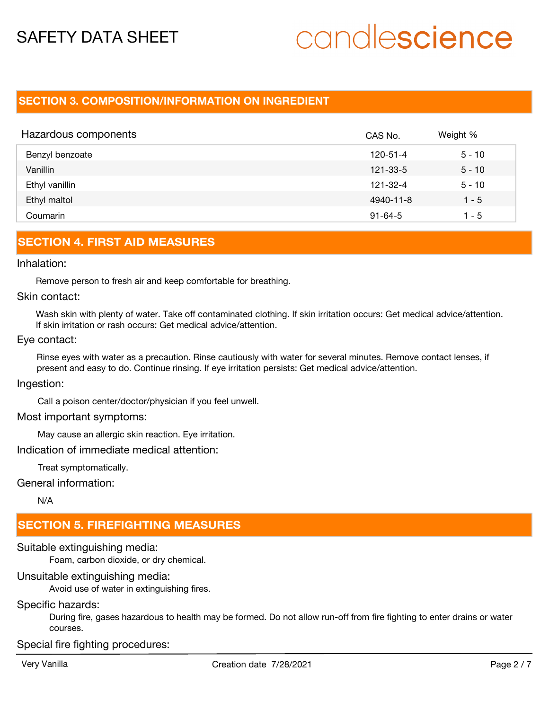# candlescience

# **SECTION 3. COMPOSITION/INFORMATION ON INGREDIENT**

| Hazardous components | CAS No.        | Weight % |
|----------------------|----------------|----------|
| Benzyl benzoate      | 120-51-4       | $5 - 10$ |
| Vanillin             | 121-33-5       | $5 - 10$ |
| Ethyl vanillin       | $121 - 32 - 4$ | $5 - 10$ |
| Ethyl maltol         | 4940-11-8      | $1 - 5$  |
| Coumarin             | $91 - 64 - 5$  | 1 - 5    |

# **SECTION 4. FIRST AID MEASURES**

## Inhalation:

Remove person to fresh air and keep comfortable for breathing.

# Skin contact:

Wash skin with plenty of water. Take off contaminated clothing. If skin irritation occurs: Get medical advice/attention. If skin irritation or rash occurs: Get medical advice/attention.

## Eye contact:

Rinse eyes with water as a precaution. Rinse cautiously with water for several minutes. Remove contact lenses, if present and easy to do. Continue rinsing. If eye irritation persists: Get medical advice/attention.

# Ingestion:

Call a poison center/doctor/physician if you feel unwell.

## Most important symptoms:

May cause an allergic skin reaction. Eye irritation.

Indication of immediate medical attention:

Treat symptomatically.

# General information:

N/A

# **SECTION 5. FIREFIGHTING MEASURES**

Suitable extinguishing media: Foam, carbon dioxide, or dry chemical.

# Unsuitable extinguishing media:

Avoid use of water in extinguishing fires.

# Specific hazards:

During fire, gases hazardous to health may be formed. Do not allow run-off from fire fighting to enter drains or water courses.

Special fire fighting procedures: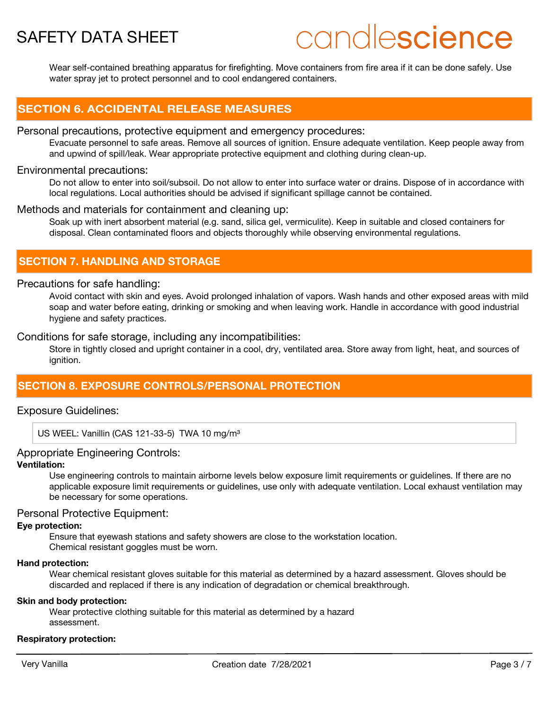# candlescience

Wear self-contained breathing apparatus for firefighting. Move containers from fire area if it can be done safely. Use water spray jet to protect personnel and to cool endangered containers.

# **SECTION 6. ACCIDENTAL RELEASE MEASURES**

## Personal precautions, protective equipment and emergency procedures:

Evacuate personnel to safe areas. Remove all sources of ignition. Ensure adequate ventilation. Keep people away from and upwind of spill/leak. Wear appropriate protective equipment and clothing during clean-up.

# Environmental precautions:

Do not allow to enter into soil/subsoil. Do not allow to enter into surface water or drains. Dispose of in accordance with local regulations. Local authorities should be advised if significant spillage cannot be contained.

# Methods and materials for containment and cleaning up:

Soak up with inert absorbent material (e.g. sand, silica gel, vermiculite). Keep in suitable and closed containers for disposal. Clean contaminated floors and objects thoroughly while observing environmental regulations.

# **SECTION 7. HANDLING AND STORAGE**

# Precautions for safe handling:

Avoid contact with skin and eyes. Avoid prolonged inhalation of vapors. Wash hands and other exposed areas with mild soap and water before eating, drinking or smoking and when leaving work. Handle in accordance with good industrial hygiene and safety practices.

# Conditions for safe storage, including any incompatibilities:

Store in tightly closed and upright container in a cool, dry, ventilated area. Store away from light, heat, and sources of ianition.

# **SECTION 8. EXPOSURE CONTROLS/PERSONAL PROTECTION**

# Exposure Guidelines:

US WEEL: Vanillin (CAS 121-33-5) TWA 10 mg/m<sup>3</sup>

# Appropriate Engineering Controls:

# **Ventilation:**

Use engineering controls to maintain airborne levels below exposure limit requirements or guidelines. If there are no applicable exposure limit requirements or guidelines, use only with adequate ventilation. Local exhaust ventilation may be necessary for some operations.

# Personal Protective Equipment:

## **Eye protection:**

Ensure that eyewash stations and safety showers are close to the workstation location. Chemical resistant goggles must be worn.

## **Hand protection:**

Wear chemical resistant gloves suitable for this material as determined by a hazard assessment. Gloves should be discarded and replaced if there is any indication of degradation or chemical breakthrough.

# **Skin and body protection:**

Wear protective clothing suitable for this material as determined by a hazard assessment.

## **Respiratory protection:**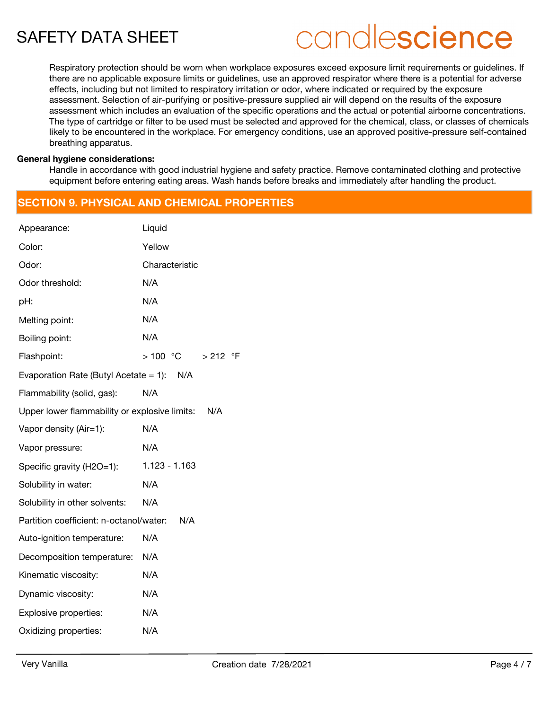# candlescience

Respiratory protection should be worn when workplace exposures exceed exposure limit requirements or guidelines. If there are no applicable exposure limits or guidelines, use an approved respirator where there is a potential for adverse effects, including but not limited to respiratory irritation or odor, where indicated or required by the exposure assessment. Selection of air-purifying or positive-pressure supplied air will depend on the results of the exposure assessment which includes an evaluation of the specific operations and the actual or potential airborne concentrations. The type of cartridge or filter to be used must be selected and approved for the chemical, class, or classes of chemicals likely to be encountered in the workplace. For emergency conditions, use an approved positive-pressure self-contained breathing apparatus.

#### **General hygiene considerations:**

Handle in accordance with good industrial hygiene and safety practice. Remove contaminated clothing and protective equipment before entering eating areas. Wash hands before breaks and immediately after handling the product.

# **SECTION 9. PHYSICAL AND CHEMICAL PROPERTIES**

| Appearance:                                   | Liquid                  |  |  |  |
|-----------------------------------------------|-------------------------|--|--|--|
| Color:                                        | Yellow                  |  |  |  |
| Odor:                                         | Characteristic          |  |  |  |
| Odor threshold:                               | N/A                     |  |  |  |
| pH:                                           | N/A                     |  |  |  |
| Melting point:                                | N/A                     |  |  |  |
| Boiling point:                                | N/A                     |  |  |  |
| Flashpoint:                                   | > 100  °C<br>$> 212$ °F |  |  |  |
| Evaporation Rate (Butyl Acetate = 1): $N/A$   |                         |  |  |  |
| Flammability (solid, gas):                    | N/A                     |  |  |  |
| Upper lower flammability or explosive limits: | N/A                     |  |  |  |
| Vapor density (Air=1):                        | N/A                     |  |  |  |
| Vapor pressure:                               | N/A                     |  |  |  |
| Specific gravity (H2O=1):                     | $1.123 - 1.163$         |  |  |  |
| Solubility in water:                          | N/A                     |  |  |  |
| Solubility in other solvents:                 | N/A                     |  |  |  |
| Partition coefficient: n-octanol/water:       | N/A                     |  |  |  |
| Auto-ignition temperature:                    | N/A                     |  |  |  |
| Decomposition temperature:                    | N/A                     |  |  |  |
| Kinematic viscosity:                          | N/A                     |  |  |  |
| Dynamic viscosity:                            | N/A                     |  |  |  |
| Explosive properties:                         | N/A                     |  |  |  |
| Oxidizing properties:                         | N/A                     |  |  |  |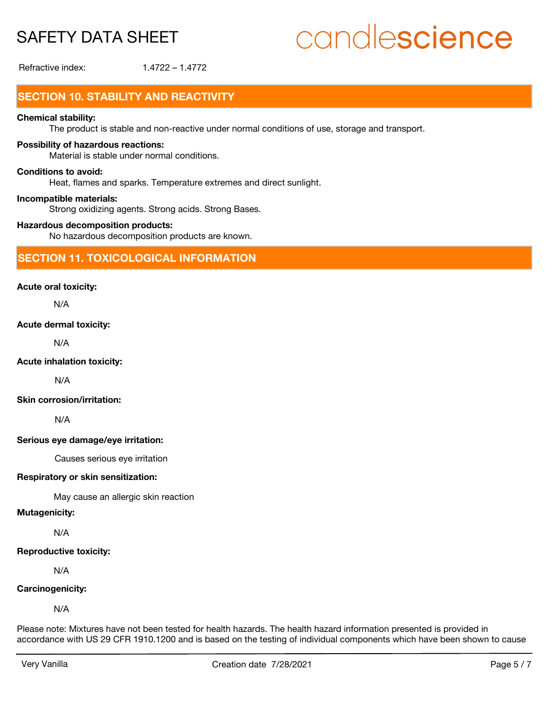# candlescience

Refractive index: 1.4722 – 1.4772

# **SECTION 10. STABILITY AND REACTIVITY**

# **Chemical stability:**

The product is stable and non-reactive under normal conditions of use, storage and transport.

## **Possibility of hazardous reactions:**

Material is stable under normal conditions.

#### **Conditions to avoid:**

Heat, flames and sparks. Temperature extremes and direct sunlight.

#### **Incompatible materials:**

Strong oxidizing agents. Strong acids. Strong Bases.

#### **Hazardous decomposition products:**

No hazardous decomposition products are known.

# **SECTION 11. TOXICOLOGICAL INFORMATION**

## **Acute oral toxicity:**

N/A

# **Acute dermal toxicity:**

N/A

## **Acute inhalation toxicity:**

N/A

# **Skin corrosion/irritation:**

N/A

## **Serious eye damage/eye irritation:**

Causes serious eye irritation

## **Respiratory or skin sensitization:**

May cause an allergic skin reaction

# **Mutagenicity:**

N/A

#### **Reproductive toxicity:**

N/A

## **Carcinogenicity:**

N/A

Please note: Mixtures have not been tested for health hazards. The health hazard information presented is provided in accordance with US 29 CFR 1910.1200 and is based on the testing of individual components which have been shown to cause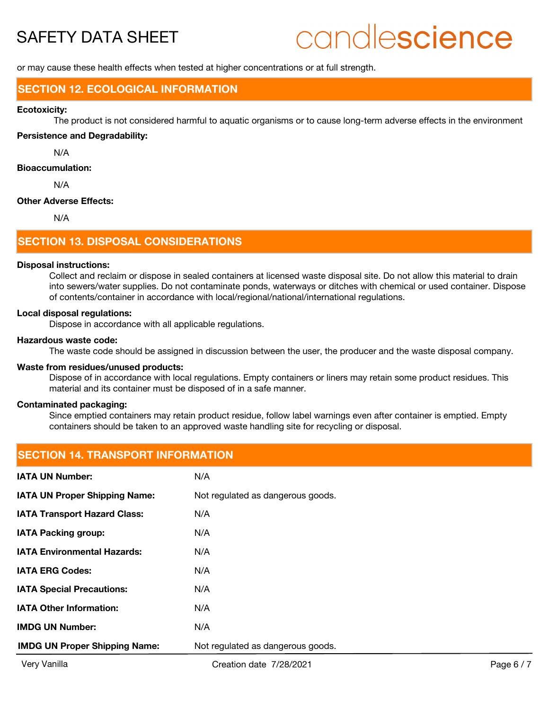# candlescience

or may cause these health effects when tested at higher concentrations or at full strength.

# **SECTION 12. ECOLOGICAL INFORMATION**

#### **Ecotoxicity:**

The product is not considered harmful to aquatic organisms or to cause long-term adverse effects in the environment

## **Persistence and Degradability:**

N/A

## **Bioaccumulation:**

N/A

#### **Other Adverse Effects:**

N/A

# **SECTION 13. DISPOSAL CONSIDERATIONS**

#### **Disposal instructions:**

Collect and reclaim or dispose in sealed containers at licensed waste disposal site. Do not allow this material to drain into sewers/water supplies. Do not contaminate ponds, waterways or ditches with chemical or used container. Dispose of contents/container in accordance with local/regional/national/international regulations.

#### **Local disposal regulations:**

Dispose in accordance with all applicable regulations.

#### **Hazardous waste code:**

The waste code should be assigned in discussion between the user, the producer and the waste disposal company.

#### **Waste from residues/unused products:**

Dispose of in accordance with local regulations. Empty containers or liners may retain some product residues. This material and its container must be disposed of in a safe manner.

## **Contaminated packaging:**

Since emptied containers may retain product residue, follow label warnings even after container is emptied. Empty containers should be taken to an approved waste handling site for recycling or disposal.

# **SECTION 14. TRANSPORT INFORMATION**

| <b>IMDG UN Proper Shipping Name:</b> | Not regulated as dangerous goods. |
|--------------------------------------|-----------------------------------|
| <b>IMDG UN Number:</b>               | N/A                               |
| <b>IATA Other Information:</b>       | N/A                               |
| <b>IATA Special Precautions:</b>     | N/A                               |
| <b>IATA ERG Codes:</b>               | N/A                               |
| <b>IATA Environmental Hazards:</b>   | N/A                               |
| <b>IATA Packing group:</b>           | N/A                               |
| <b>IATA Transport Hazard Class:</b>  | N/A                               |
| <b>IATA UN Proper Shipping Name:</b> | Not regulated as dangerous goods. |
| <b>IATA UN Number:</b>               | N/A                               |